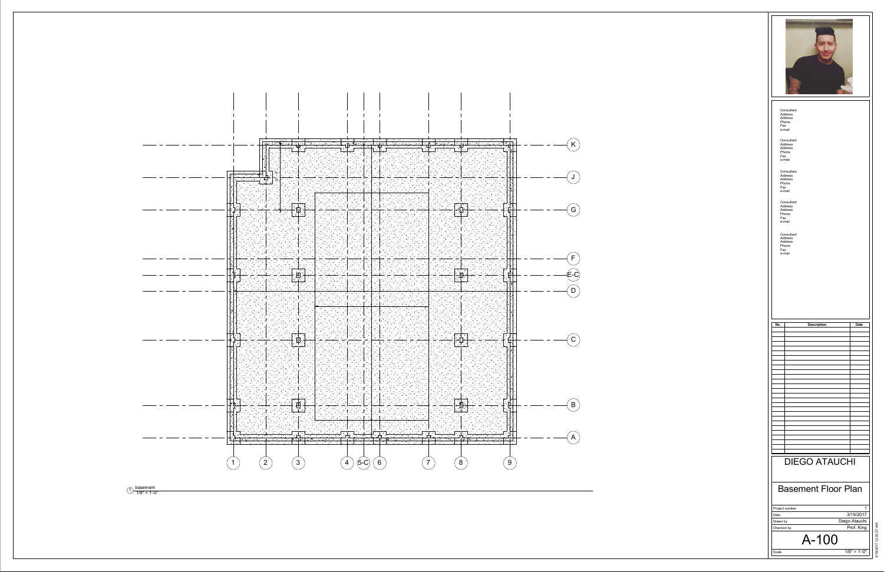



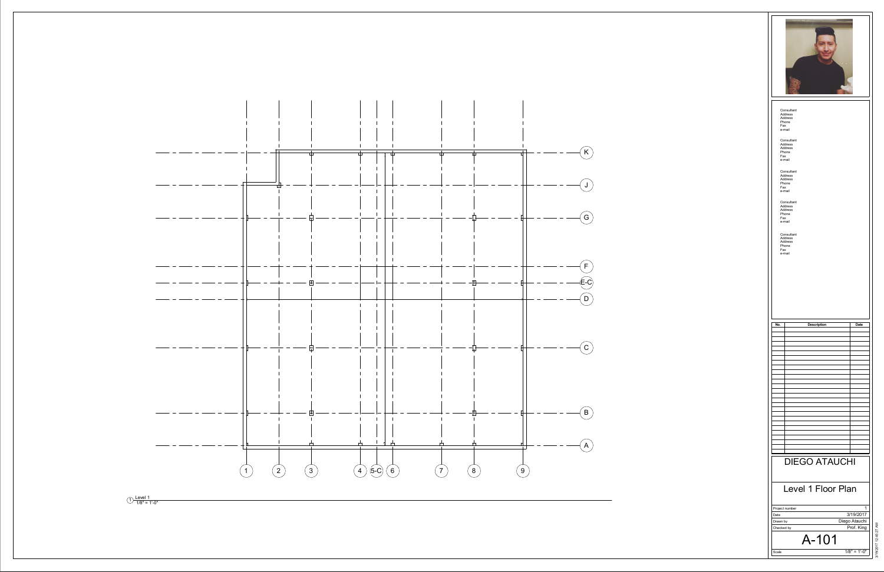

1/8" = 1'-0"

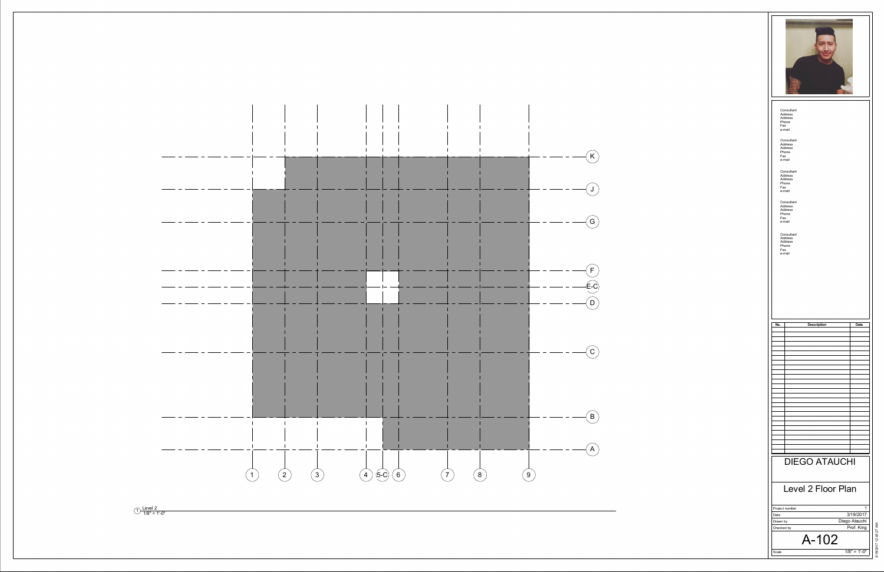

 $\begin{array}{c}\n\text{Level 2} \\
\hline\n1/8" = 1'-0"\n\end{array}$ 

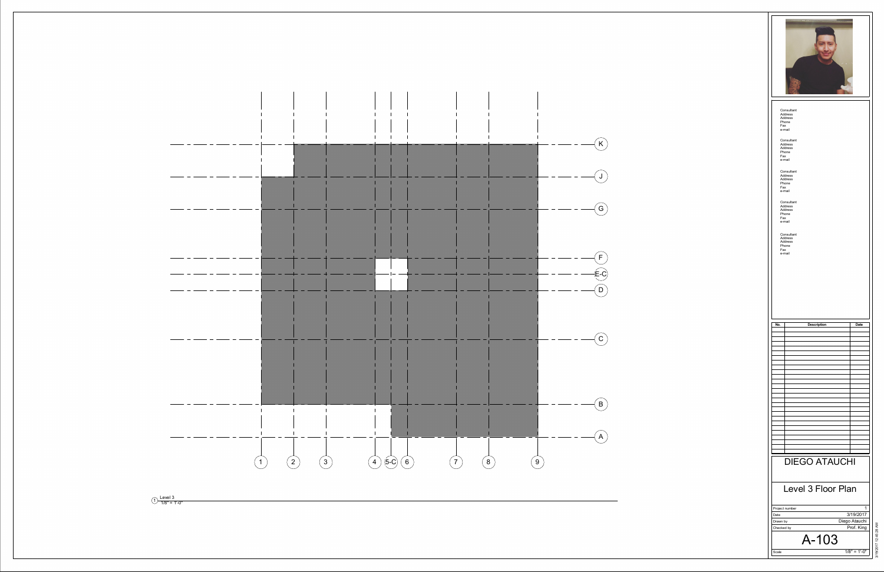

1/8" = 1'-0"